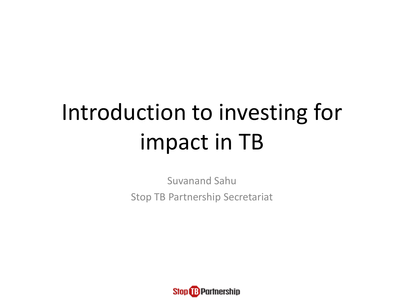# Introduction to investing for impact in TB

Suvanand Sahu Stop TB Partnership Secretariat

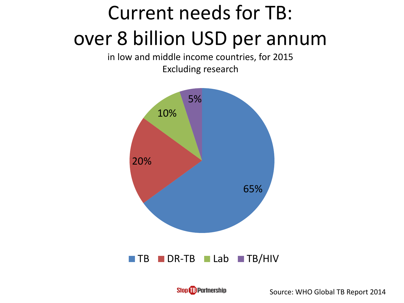### Current needs for TB: over 8 billion USD per annum

in low and middle income countries, for 2015 Excluding research



Stop **B** Partnership

Source: WHO Global TB Report 2014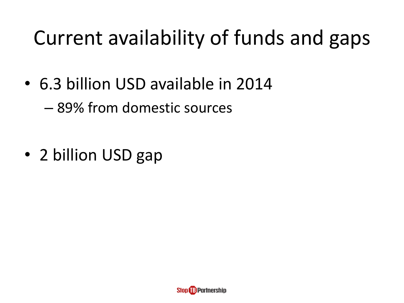### Current availability of funds and gaps

• 6.3 billion USD available in 2014

– 89% from domestic sources

• 2 billion USD gap

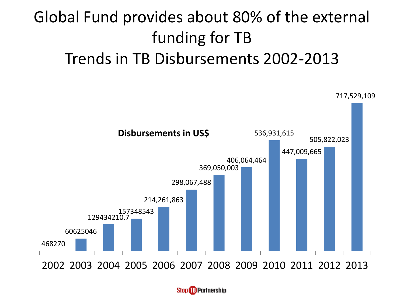### Global Fund provides about 80% of the external funding for TB Trends in TB Disbursements 2002-2013



**Stop BPartnership**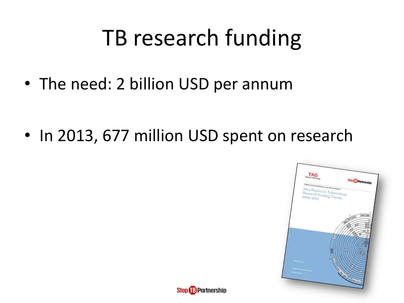## TB research funding

• The need: 2 billion USD per annum

• In 2013, 677 million USD spent on research



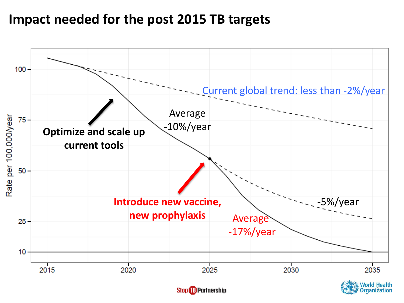#### **Impact needed for the post 2015 TB targets**



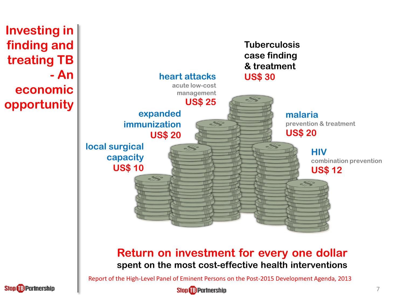

![](_page_6_Picture_1.jpeg)

**Stop &B Partnership**